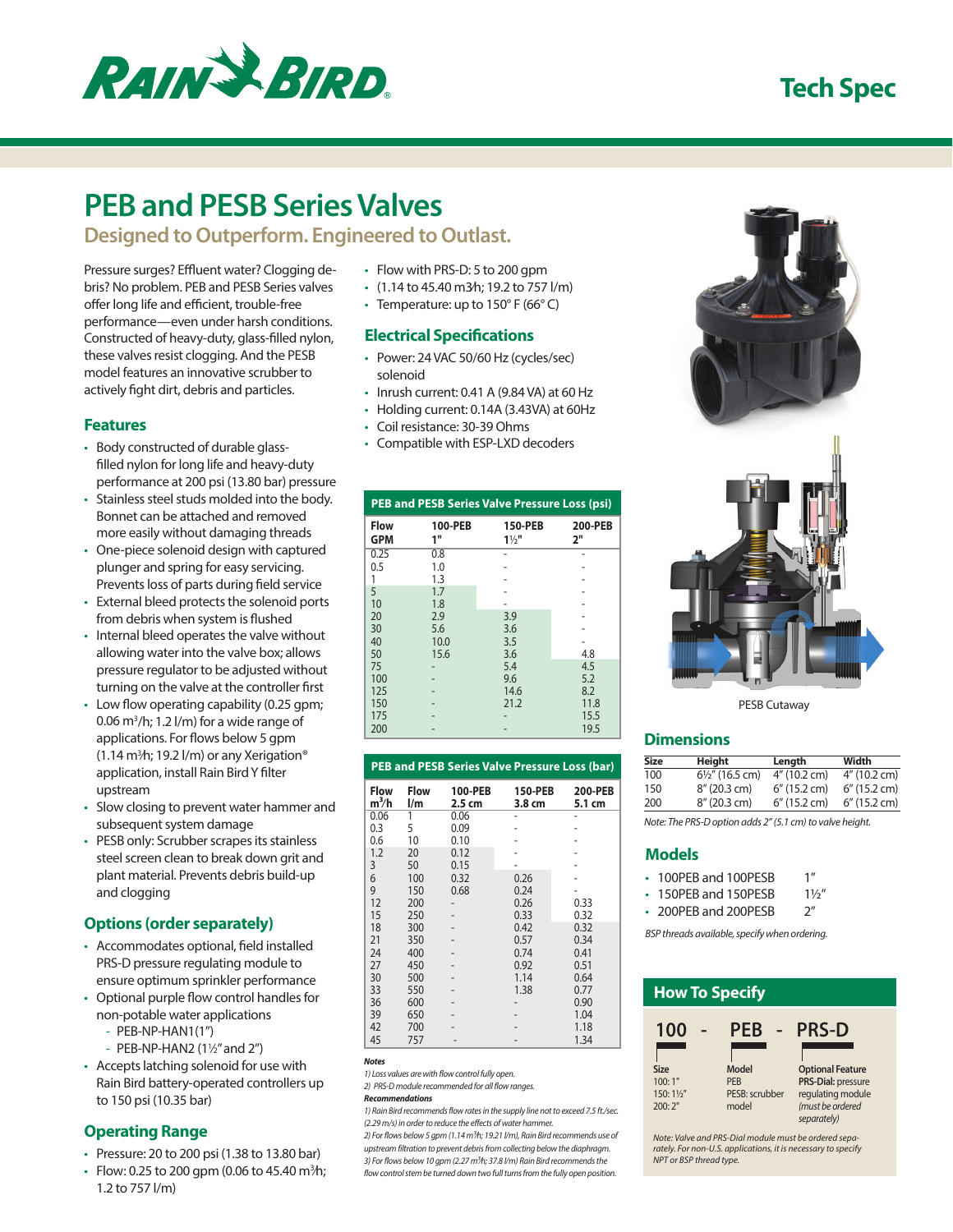

## **Tech Spec**

# **PEB and PESB Series Valves**

**Designed to Outperform. Engineered to Outlast.**

Pressure surges? Effluent water? Clogging debris? No problem. PEB and PESB Series valves offer long life and efficient, trouble-free performance—even under harsh conditions. Constructed of heavy-duty, glass-filled nylon, these valves resist clogging. And the PESB model features an innovative scrubber to actively fight dirt, debris and particles.

#### **Features**

- Body constructed of durable glassfilled nylon for long life and heavy-duty performance at 200 psi (13.80 bar) pressure
- Stainless steel studs molded into the body. Bonnet can be attached and removed more easily without damaging threads
- One-piece solenoid design with captured plunger and spring for easy servicing. Prevents loss of parts during field service
- External bleed protects the solenoid ports from debris when system is flushed
- Internal bleed operates the valve without allowing water into the valve box; allows pressure regulator to be adjusted without turning on the valve at the controller first
- Low flow operating capability (0.25 gpm;  $0.06$  m<sup>3</sup>/h; 1.2 l/m) for a wide range of applications. For flows below 5 gpm (1.14 m3 ⁄h; 19.2 l/m) or any Xerigation® application, install Rain Bird Y filter upstream
- Slow closing to prevent water hammer and subsequent system damage
- PESB only: Scrubber scrapes its stainless steel screen clean to break down grit and plant material. Prevents debris build-up and clogging

## **Options (order separately)**

- Accommodates optional, field installed PRS-D pressure regulating module to ensure optimum sprinkler performance
- Optional purple flow control handles for non-potable water applications
	- PEB-NP-HAN1(1")
	- PEB-NP-HAN2 (1½" and 2")
- Accepts latching solenoid for use with Rain Bird battery-operated controllers up to 150 psi (10.35 bar)

## **Operating Range**

- Pressure: 20 to 200 psi (1.38 to 13.80 bar)
- Flow: 0.25 to 200 gpm (0.06 to 45.40 m ${}^{3h}$ ); 1.2 to 757 l/m)
- Flow with PRS-D: 5 to 200 gpm
- (1.14 to 45.40 m3⁄h; 19.2 to 757 l/m)
- Temperature: up to  $150^{\circ}$  F (66 $^{\circ}$  C)

#### **Electrical Specifications**

- Power: 24 VAC 50/60 Hz (cycles/sec) solenoid
- Inrush current: 0.41 A (9.84 VA) at 60 Hz
- Holding current: 0.14A (3.43VA) at 60Hz
- Coil resistance: 30-39 Ohms
- Compatible with ESP-LXD decoders

| <b>PEB and PESB Series Valve Pressure Loss (psi)</b> |               |                           |                      |
|------------------------------------------------------|---------------|---------------------------|----------------------|
| <b>Flow</b><br><b>GPM</b>                            | 100-PEB<br>1" | 150-PEB<br>$1\frac{1}{2}$ | <b>200-PEB</b><br>2" |
| 0.25                                                 | 0.8           |                           |                      |
| 0.5                                                  | 1.0           |                           |                      |
| 1                                                    | 1.3           |                           |                      |
| 5                                                    | 1.7           |                           |                      |
| 10                                                   | 1.8           |                           |                      |
| 20                                                   | 2.9           | 3.9                       |                      |
| 30                                                   | 5.6           | 3.6                       |                      |
| 40                                                   | 10.0          | 3.5                       |                      |
| 50                                                   | 15.6          | 3.6                       | 4.8                  |
| 75                                                   |               | 5.4                       | 4.5                  |
| 100                                                  |               | 9.6                       | 5.2                  |
| 125                                                  |               | 14.6                      | 8.2                  |
| 150                                                  |               | 21.2                      | 11.8                 |
| 175                                                  |               |                           | 15.5                 |
| 200                                                  |               |                           | 19.5                 |

|                        |                                        |                   | <b>PEB and PESB Series Valve Pressure Loss (bar)</b> |                          |
|------------------------|----------------------------------------|-------------------|------------------------------------------------------|--------------------------|
| <b>Flow</b><br>$m^3/h$ | <b>Flow</b><br>$\mathsf{I}/\mathsf{m}$ | 100-PEB<br>2.5 cm | 150-PEB<br>3.8 cm                                    | <b>200-PEB</b><br>5.1 cm |
| 0.06                   | 1                                      | 0.06              |                                                      |                          |
| 0.3                    | 5                                      | 0.09              |                                                      |                          |
| 0.6                    | 10                                     | 0.10              |                                                      |                          |
| 1.2                    | 20                                     | 0.12              |                                                      |                          |
| 3                      | 50                                     | 0.15              |                                                      |                          |
| 6                      | 100                                    | 0.32              | 0.26                                                 |                          |
| 9                      | 150                                    | 0.68              | 0.24                                                 |                          |
| 12                     | 200                                    |                   | 0.26                                                 | 0.33                     |
| 15                     | 250                                    |                   | 0.33                                                 | 0.32                     |
| 18                     | 300                                    |                   | 0.42                                                 | 0.32                     |
| 21                     | 350                                    |                   | 0.57                                                 | 0.34                     |
| 24                     | 400                                    |                   | 0.74                                                 | 0.41                     |
| 27                     | 450                                    |                   | 0.92                                                 | 0.51                     |
| 30                     | 500                                    |                   | 1.14                                                 | 0.64                     |
| 33                     | 550                                    |                   | 1.38                                                 | 0.77                     |
| 36                     | 600                                    |                   |                                                      | 0.90                     |
| 39                     | 650                                    |                   |                                                      | 1.04                     |
| 42                     | 700                                    |                   |                                                      | 1.18                     |
| 45                     | 757                                    |                   |                                                      | 1.34                     |

*Notes*

*1) Loss values are with flow control fully open.*

*2) PRS-D module recommended for all flow ranges.*

#### *Recommendations*

*1) Rain Bird recommends flow rates in the supply line not to exceed 7.5 ft./sec. (2.29 m/s) in order to reduce the effects of water hammer.*

*2) For flows below 5 gpm (1.14 m3⁄h; 19.21 l/m), Rain Bird recommends use of upstream filtration to prevent debris from collecting below the diaphragm. 3) For flows below 10 gpm (2.27 m3⁄h; 37.8 l/m) Rain Bird recommends the flow control stem be turned down two full turns from the fully open position.*



PESB Cutaway

#### **Dimensions**

| Size | Height                     | Length          | Width        |
|------|----------------------------|-----------------|--------------|
| 100  | $6\frac{1}{2}$ " (16.5 cm) | 4" (10.2 cm)    | 4" (10.2 cm) |
| 150  | 8" (20.3 cm)               | $6''$ (15.2 cm) | 6" (15.2 cm) |
| 200  | 8" (20.3 cm)               | 6" (15.2 cm)    | 6" (15.2 cm) |
|      |                            |                 |              |

*Note: The PRS-D option adds 2" (5.1 cm) to valve height.*

#### **Models**

| ۰ | 100PEB and 100PESB | 1'' |
|---|--------------------|-----|
|   |                    |     |

• 150PEB and 150PESB 11/2"

• 200PEB and 200PESB 2"

*BSP threads available, specify when ordering.*

| <b>How To Specify</b>  |                |                         |
|------------------------|----------------|-------------------------|
| 100                    | PEB            | <b>PRS-D</b>            |
|                        |                |                         |
| <b>Size</b>            | Model          | <b>Optional Feature</b> |
| 100:1"                 | <b>PFR</b>     | PRS-Dial: pressure      |
| 150:11/ <sub>5</sub> " | PESB: scrubber | regulating module       |
| 200:2"                 | model          | (must be ordered        |
|                        |                | separately)             |
|                        |                | .                       |

*Note: Valve and PRS-Dial module must be ordered separately. For non-U.S. applications, it is necessary to specify NPT or BSP thread type.*